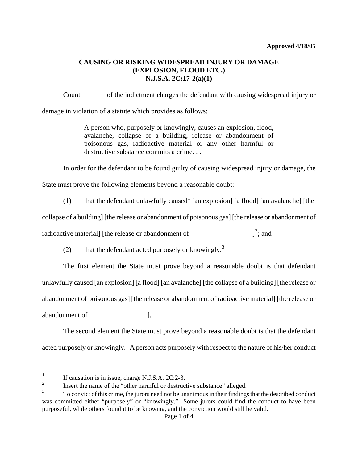# **CAUSING OR RISKING WIDESPREAD INJURY OR DAMAGE (EXPLOSION, FLOOD ETC.) N.J.S.A. 2C:17-2(a)(1)**

Count of the indictment charges the defendant with causing widespread injury or damage in violation of a statute which provides as follows:

> A person who, purposely or knowingly, causes an explosion, flood, avalanche, collapse of a building, release or abandonment of poisonous gas, radioactive material or any other harmful or destructive substance commits a crime. . .

In order for the defendant to be found guilty of causing widespread injury or damage, the

State must prove the following elements beyond a reasonable doubt:

([1](#page-0-0)) that the defendant unlawfully caused<sup>1</sup> [an explosion] [a flood] [an avalanche] [the

collapse of a building] [the release or abandonment of poisonous gas] [the release or abandonment of

radioactive material] [the release or abandonment of  $\qquad \qquad$   $]^{2}$  $]^{2}$  $]^{2}$ ; and

(2) that the defendant acted purposely or knowingly.<sup>[3](#page-0-2)</sup>

The first element the State must prove beyond a reasonable doubt is that defendant unlawfully caused [an explosion] [a flood] [an avalanche] [the collapse of a building] [the release or abandonment of poisonous gas] [the release or abandonment of radioactive material] [the release or abandonment of [1].

The second element the State must prove beyond a reasonable doubt is that the defendant acted purposely or knowingly. A person acts purposely with respect to the nature of his/her conduct

<span id="page-0-0"></span> $\frac{1}{1}$ If causation is in issue, charge  $\underline{N.J.S.A.}$  2C:2-3.

<span id="page-0-1"></span> $\frac{2}{3}$  Insert the name of the "other harmful or destructive substance" alleged.

<span id="page-0-3"></span><span id="page-0-2"></span><sup>3</sup> To convict of this crime, the jurors need not be unanimous in their findings that the described conduct was committed either "purposely" or "knowingly." Some jurors could find the conduct to have been purposeful, while others found it to be knowing, and the conviction would still be valid.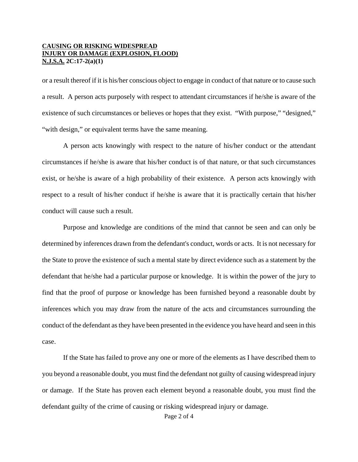#### **CAUSING OR RISKING WIDESPREAD INJURY OR DAMAGE (EXPLOSION, FLOOD) N.J.S.A. 2C:17-2(a)(1)**

or a result thereof if it is his/her conscious object to engage in conduct of that nature or to cause such a result. A person acts purposely with respect to attendant circumstances if he/she is aware of the existence of such circumstances or believes or hopes that they exist. "With purpose," "designed," "with design," or equivalent terms have the same meaning.

A person acts knowingly with respect to the nature of his/her conduct or the attendant circumstances if he/she is aware that his/her conduct is of that nature, or that such circumstances exist, or he/she is aware of a high probability of their existence. A person acts knowingly with respect to a result of his/her conduct if he/she is aware that it is practically certain that his/her conduct will cause such a result.

Purpose and knowledge are conditions of the mind that cannot be seen and can only be determined by inferences drawn from the defendant's conduct, words or acts. It is not necessary for the State to prove the existence of such a mental state by direct evidence such as a statement by the defendant that he/she had a particular purpose or knowledge. It is within the power of the jury to find that the proof of purpose or knowledge has been furnished beyond a reasonable doubt by inferences which you may draw from the nature of the acts and circumstances surrounding the conduct of the defendant as they have been presented in the evidence you have heard and seen in this case.

If the State has failed to prove any one or more of the elements as I have described them to you beyond a reasonable doubt, you must find the defendant not guilty of causing widespread injury or damage. If the State has proven each element beyond a reasonable doubt, you must find the defendant guilty of the crime of causing or risking widespread injury or damage.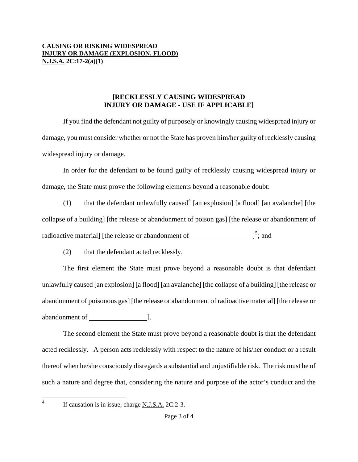### **CAUSING OR RISKING WIDESPREAD INJURY OR DAMAGE (EXPLOSION, FLOOD) N.J.S.A. 2C:17-2(a)(1)**

## **[RECKLESSLY CAUSING WIDESPREAD INJURY OR DAMAGE - USE IF APPLICABLE]**

If you find the defendant not guilty of purposely or knowingly causing widespread injury or damage, you must consider whether or not the State has proven him/her guilty of recklessly causing widespread injury or damage.

In order for the defendant to be found guilty of recklessly causing widespread injury or damage, the State must prove the following elements beyond a reasonable doubt:

(1) that the defendant unlawfully caused<sup>[4](#page-0-3)</sup> [an explosion] [a flood] [an avalanche] [the collapse of a building] [the release or abandonment of poison gas] [the release or abandonment of radioactive material] [the release or abandonment of  $\qquad \qquad$   $]^{5}$  $]^{5}$  $]^{5}$ ; and

(2) that the defendant acted recklessly.

The first element the State must prove beyond a reasonable doubt is that defendant unlawfully caused [an explosion] [a flood] [an avalanche] [the collapse of a building] [the release or abandonment of poisonous gas] [the release or abandonment of radioactive material] [the release or abandonment of ].

The second element the State must prove beyond a reasonable doubt is that the defendant acted recklessly. A person acts recklessly with respect to the nature of his/her conduct or a result thereof when he/she consciously disregards a substantial and unjustifiable risk. The risk must be of such a nature and degree that, considering the nature and purpose of the actor's conduct and the

<span id="page-2-1"></span><span id="page-2-0"></span>4

If causation is in issue, charge N.J.S.A. 2C:2-3.